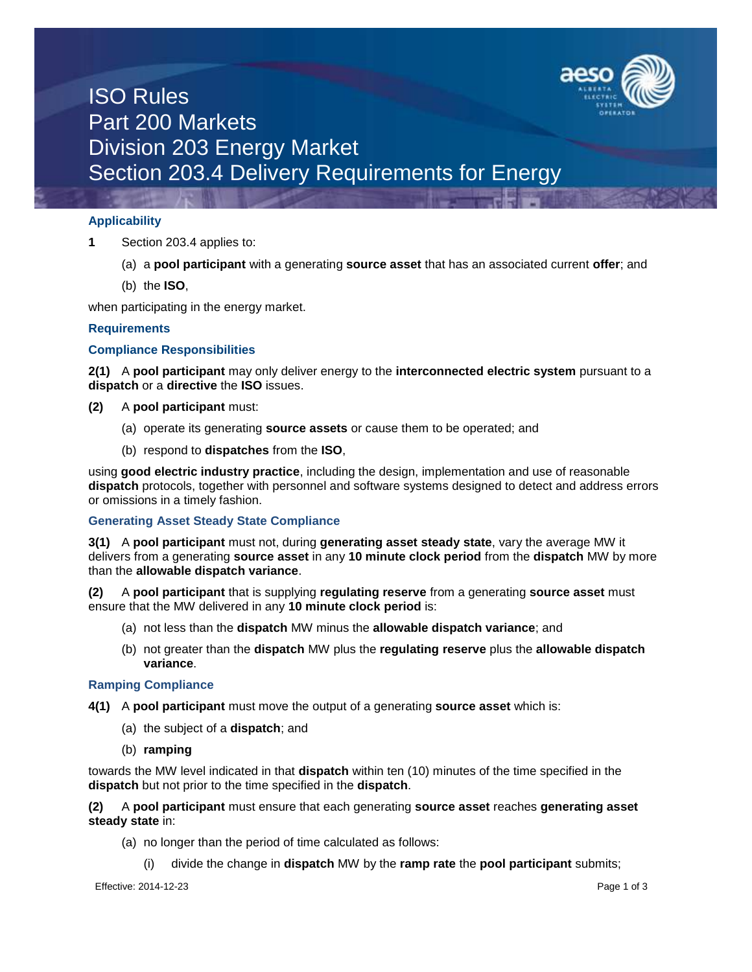

## ISO Rules Part 200 Markets Division 203 Energy Market Section 203.4 Delivery Requirements for Energy

### **Applicability**

- **1** Section 203.4 applies to:
	- (a) a **pool participant** with a generating **source asset** that has an associated current **offer**; and
	- (b) the **ISO**,

when participating in the energy market.

## **Requirements**

## **Compliance Responsibilities**

**2(1)** A **pool participant** may only deliver energy to the **interconnected electric system** pursuant to a **dispatch** or a **directive** the **ISO** issues.

### **(2)** A **pool participant** must:

- (a) operate its generating **source assets** or cause them to be operated; and
- (b) respond to **dispatches** from the **ISO**,

using **good electric industry practice**, including the design, implementation and use of reasonable **dispatch** protocols, together with personnel and software systems designed to detect and address errors or omissions in a timely fashion.

### **Generating Asset Steady State Compliance**

**3(1)** A **pool participant** must not, during **generating asset steady state**, vary the average MW it delivers from a generating **source asset** in any **10 minute clock period** from the **dispatch** MW by more than the **allowable dispatch variance**.

**(2)** A **pool participant** that is supplying **regulating reserve** from a generating **source asset** must ensure that the MW delivered in any **10 minute clock period** is:

- (a) not less than the **dispatch** MW minus the **allowable dispatch variance**; and
- (b) not greater than the **dispatch** MW plus the **regulating reserve** plus the **allowable dispatch variance**.

### **Ramping Compliance**

- **4(1)** A **pool participant** must move the output of a generating **source asset** which is:
	- (a) the subject of a **dispatch**; and
	- (b) **ramping**

towards the MW level indicated in that **dispatch** within ten (10) minutes of the time specified in the **dispatch** but not prior to the time specified in the **dispatch**.

**(2)** A **pool participant** must ensure that each generating **source asset** reaches **generating asset steady state** in:

- (a) no longer than the period of time calculated as follows:
	- (i) divide the change in **dispatch** MW by the **ramp rate** the **pool participant** submits;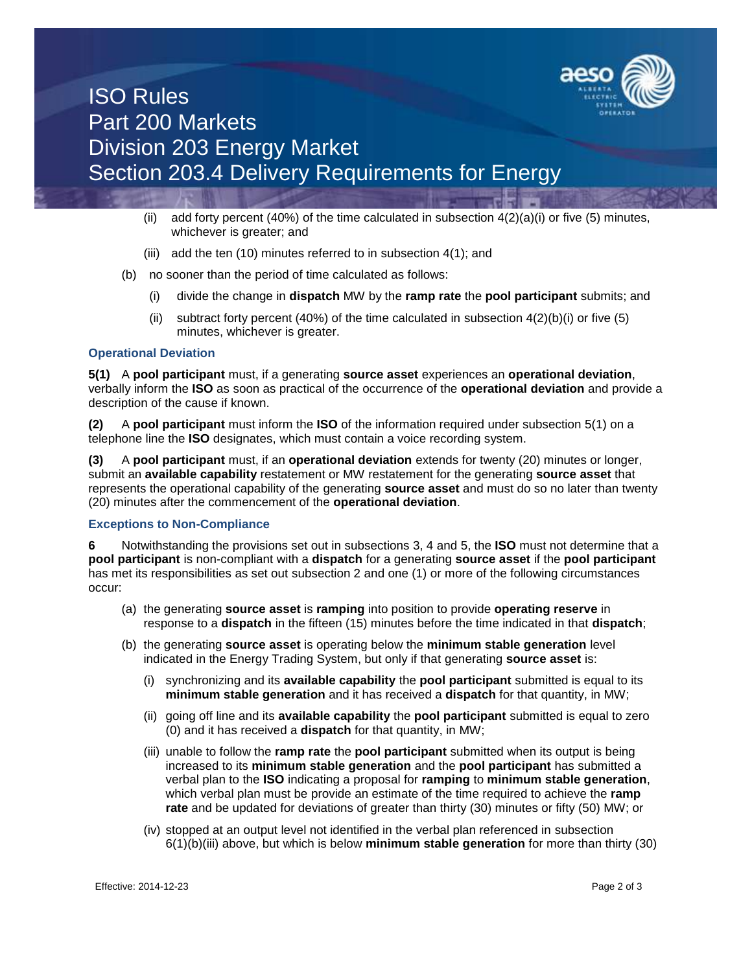

# ISO Rules Part 200 Markets Division 203 Energy Market Section 203.4 Delivery Requirements for Energy

- (ii) add forty percent (40%) of the time calculated in subsection  $4(2)(a)(i)$  or five (5) minutes, whichever is greater; and
- (iii) add the ten (10) minutes referred to in subsection 4(1); and
- (b) no sooner than the period of time calculated as follows:
	- (i) divide the change in **dispatch** MW by the **ramp rate** the **pool participant** submits; and
	- (ii) subtract forty percent (40%) of the time calculated in subsection  $4(2)(b)(i)$  or five (5) minutes, whichever is greater.

#### **Operational Deviation**

**5(1)** A **pool participant** must, if a generating **source asset** experiences an **operational deviation**, verbally inform the **ISO** as soon as practical of the occurrence of the **operational deviation** and provide a description of the cause if known.

**(2)** A **pool participant** must inform the **ISO** of the information required under subsection 5(1) on a telephone line the **ISO** designates, which must contain a voice recording system.

**(3)** A **pool participant** must, if an **operational deviation** extends for twenty (20) minutes or longer, submit an **available capability** restatement or MW restatement for the generating **source asset** that represents the operational capability of the generating **source asset** and must do so no later than twenty (20) minutes after the commencement of the **operational deviation**.

### **Exceptions to Non-Compliance**

**6** Notwithstanding the provisions set out in subsections 3, 4 and 5, the **ISO** must not determine that a **pool participant** is non-compliant with a **dispatch** for a generating **source asset** if the **pool participant** has met its responsibilities as set out subsection 2 and one (1) or more of the following circumstances occur:

- (a) the generating **source asset** is **ramping** into position to provide **operating reserve** in response to a **dispatch** in the fifteen (15) minutes before the time indicated in that **dispatch**;
- (b) the generating **source asset** is operating below the **minimum stable generation** level indicated in the Energy Trading System, but only if that generating **source asset** is:
	- (i) synchronizing and its **available capability** the **pool participant** submitted is equal to its **minimum stable generation** and it has received a **dispatch** for that quantity, in MW;
	- (ii) going off line and its **available capability** the **pool participant** submitted is equal to zero (0) and it has received a **dispatch** for that quantity, in MW;
	- (iii) unable to follow the **ramp rate** the **pool participant** submitted when its output is being increased to its **minimum stable generation** and the **pool participant** has submitted a verbal plan to the **ISO** indicating a proposal for **ramping** to **minimum stable generation**, which verbal plan must be provide an estimate of the time required to achieve the **ramp rate** and be updated for deviations of greater than thirty (30) minutes or fifty (50) MW; or
	- (iv) stopped at an output level not identified in the verbal plan referenced in subsection 6(1)(b)(iii) above, but which is below **minimum stable generation** for more than thirty (30)